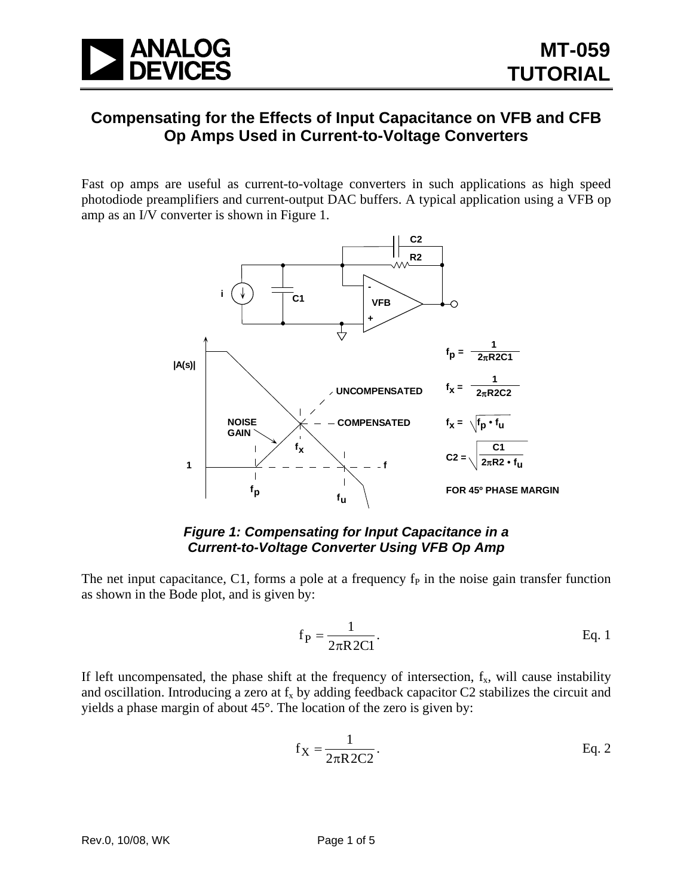

# **Compensating for the Effects of Input Capacitance on VFB and CFB Op Amps Used in Current-to-Voltage Converters**

Fast op amps are useful as current-to-voltage converters in such applications as high speed photodiode preamplifiers and current-output DAC buffers. A typical application using a VFB op amp as an I/V converter is shown in Figure 1.



### *Figure 1: Compensating for Input Capacitance in a Current-to-Voltage Converter Using VFB Op Amp*

The net input capacitance, C1, forms a pole at a frequency  $f<sub>P</sub>$  in the noise gain transfer function as shown in the Bode plot, and is given by:

$$
f_P = \frac{1}{2\pi R 2Cl}.
$$
 Eq. 1

If left uncompensated, the phase shift at the frequency of intersection,  $f_x$ , will cause instability and oscillation. Introducing a zero at  $f_x$  by adding feedback capacitor C2 stabilizes the circuit and yields a phase margin of about 45°. The location of the zero is given by:

$$
f_X = \frac{1}{2\pi R 2C2}.
$$
 Eq. 2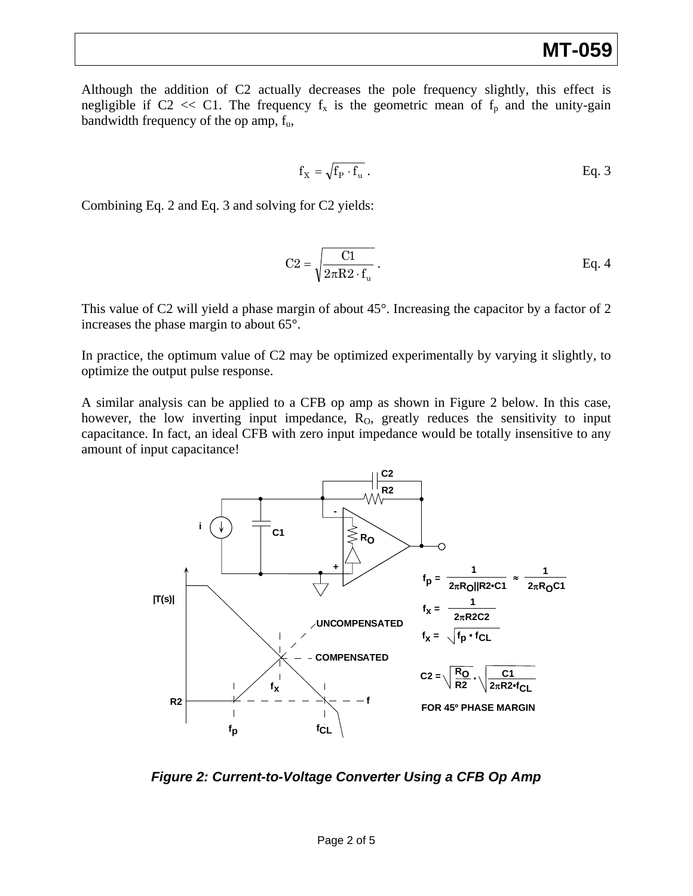Although the addition of C2 actually decreases the pole frequency slightly, this effect is negligible if C2  $<<$  C1. The frequency  $f_x$  is the geometric mean of  $f_p$  and the unity-gain bandwidth frequency of the op amp,  $f_u$ ,

$$
f_X = \sqrt{f_P \cdot f_u} \, .
$$
 Eq. 3

Combining Eq. 2 and Eq. 3 and solving for C2 yields:

$$
C2 = \sqrt{\frac{C1}{2\pi R2 \cdot f_u}}.
$$
 Eq. 4

This value of C2 will yield a phase margin of about 45°. Increasing the capacitor by a factor of 2 increases the phase margin to about 65°.

In practice, the optimum value of C2 may be optimized experimentally by varying it slightly, to optimize the output pulse response.

A similar analysis can be applied to a CFB op amp as shown in Figure 2 below. In this case, however, the low inverting input impedance,  $R<sub>0</sub>$ , greatly reduces the sensitivity to input capacitance. In fact, an ideal CFB with zero input impedance would be totally insensitive to any amount of input capacitance!



*Figure 2: Current-to-Voltage Converter Using a CFB Op Amp*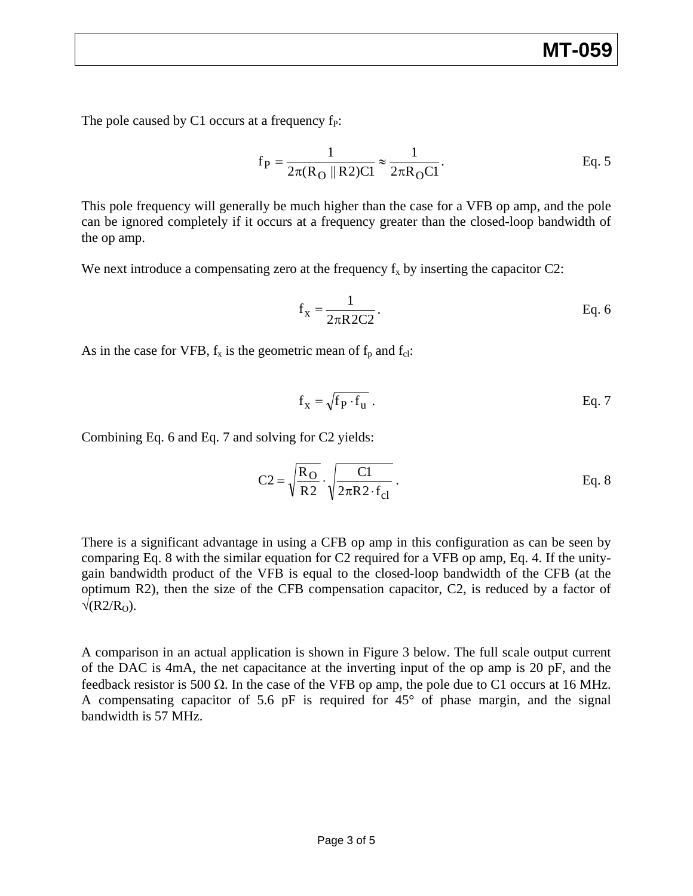The pole caused by C1 occurs at a frequency  $f<sub>P</sub>$ :

$$
f_P = {1 \over 2\pi (R_O \parallel R2)Cl} \approx {1 \over 2\pi R_O Cl}
$$
. Eq. 5

This pole frequency will generally be much higher than the case for a VFB op amp, and the pole can be ignored completely if it occurs at a frequency greater than the closed-loop bandwidth of the op amp.

We next introduce a compensating zero at the frequency  $f_x$  by inserting the capacitor C2:

$$
f_x = \frac{1}{2\pi R 2C2}.
$$
 Eq. 6

As in the case for VFB,  $f_x$  is the geometric mean of  $f_p$  and  $f_{cl}$ :

$$
f_x = \sqrt{f_P \cdot f_u} \ .
$$
 Eq. 7

Combining Eq. 6 and Eq. 7 and solving for C2 yields:

$$
C2 = \sqrt{\frac{R_O}{R2}} \cdot \sqrt{\frac{C1}{2\pi R2 \cdot f_{cl}}}.
$$
 Eq. 8

There is a significant advantage in using a CFB op amp in this configuration as can be seen by comparing Eq. 8 with the similar equation for C2 required for a VFB op amp, Eq. 4. If the unitygain bandwidth product of the VFB is equal to the closed-loop bandwidth of the CFB (at the optimum R2), then the size of the CFB compensation capacitor, C2, is reduced by a factor of  $\sqrt{(R2/R<sub>O</sub>)}$ .

A comparison in an actual application is shown in Figure 3 below. The full scale output current of the DAC is 4mA, the net capacitance at the inverting input of the op amp is 20 pF, and the feedback resistor is 500  $\Omega$ . In the case of the VFB op amp, the pole due to C1 occurs at 16 MHz. A compensating capacitor of 5.6 pF is required for  $45^{\circ}$  of phase margin, and the signal bandwidth is 57 MHz.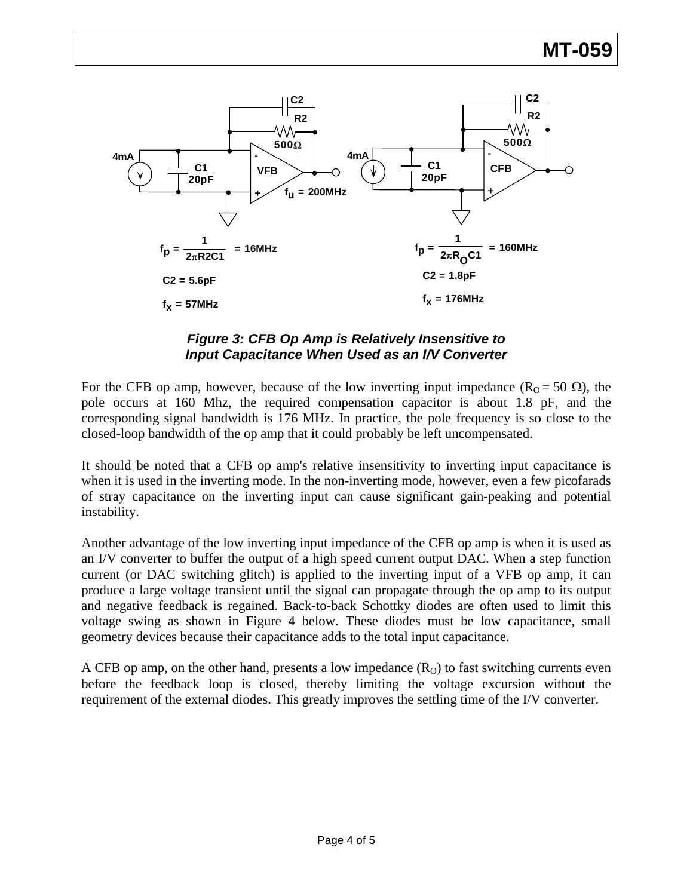

## *Figure 3: CFB Op Amp is Relatively Insensitive to Input Capacitance When Used as an I/V Converter*

For the CFB op amp, however, because of the low inverting input impedance ( $R_0 = 50 \Omega$ ), the pole occurs at 160 Mhz, the required compensation capacitor is about 1.8 pF, and the corresponding signal bandwidth is 176 MHz. In practice, the pole frequency is so close to the closed-loop bandwidth of the op amp that it could probably be left uncompensated.

It should be noted that a CFB op amp's relative insensitivity to inverting input capacitance is when it is used in the inverting mode. In the non-inverting mode, however, even a few picofarads of stray capacitance on the inverting input can cause significant gain-peaking and potential instability.

Another advantage of the low inverting input impedance of the CFB op amp is when it is used as an I/V converter to buffer the output of a high speed current output DAC. When a step function current (or DAC switching glitch) is applied to the inverting input of a VFB op amp, it can produce a large voltage transient until the signal can propagate through the op amp to its output and negative feedback is regained. Back-to-back Schottky diodes are often used to limit this voltage swing as shown in Figure 4 below. These diodes must be low capacitance, small geometry devices because their capacitance adds to the total input capacitance.

A CFB op amp, on the other hand, presents a low impedance  $(R<sub>O</sub>)$  to fast switching currents even before the feedback loop is closed, thereby limiting the voltage excursion without the requirement of the external diodes. This greatly improves the settling time of the I/V converter.